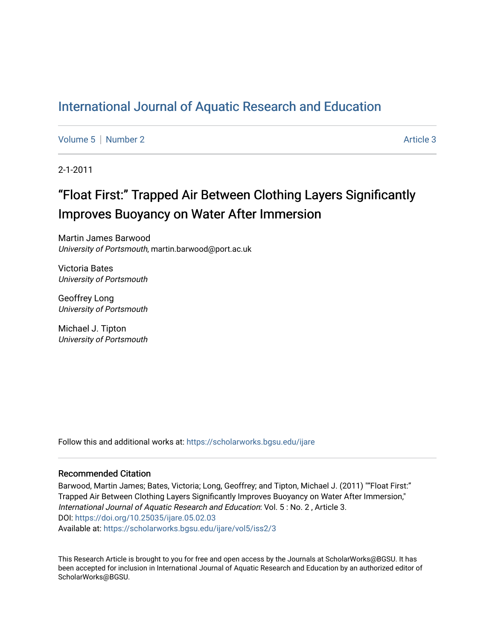## [International Journal of Aquatic Research and Education](https://scholarworks.bgsu.edu/ijare)

[Volume 5](https://scholarworks.bgsu.edu/ijare/vol5) | [Number 2](https://scholarworks.bgsu.edu/ijare/vol5/iss2) Article 3

2-1-2011

# "Float First:" Trapped Air Between Clothing Layers Significantly Improves Buoyancy on Water After Immersion

Martin James Barwood University of Portsmouth, martin.barwood@port.ac.uk

Victoria Bates University of Portsmouth

Geoffrey Long University of Portsmouth

Michael J. Tipton University of Portsmouth

Follow this and additional works at: [https://scholarworks.bgsu.edu/ijare](https://scholarworks.bgsu.edu/ijare?utm_source=scholarworks.bgsu.edu%2Fijare%2Fvol5%2Fiss2%2F3&utm_medium=PDF&utm_campaign=PDFCoverPages) 

#### Recommended Citation

Barwood, Martin James; Bates, Victoria; Long, Geoffrey; and Tipton, Michael J. (2011) ""Float First:" Trapped Air Between Clothing Layers Significantly Improves Buoyancy on Water After Immersion," International Journal of Aquatic Research and Education: Vol. 5 : No. 2 , Article 3. DOI: [https://doi.org/10.25035/ijare.05.02.03](http://doi.org/https://doi.org/10.25035/ijare.05.02.03)  Available at: [https://scholarworks.bgsu.edu/ijare/vol5/iss2/3](https://scholarworks.bgsu.edu/ijare/vol5/iss2/3?utm_source=scholarworks.bgsu.edu%2Fijare%2Fvol5%2Fiss2%2F3&utm_medium=PDF&utm_campaign=PDFCoverPages) 

This Research Article is brought to you for free and open access by the Journals at ScholarWorks@BGSU. It has been accepted for inclusion in International Journal of Aquatic Research and Education by an authorized editor of ScholarWorks@BGSU.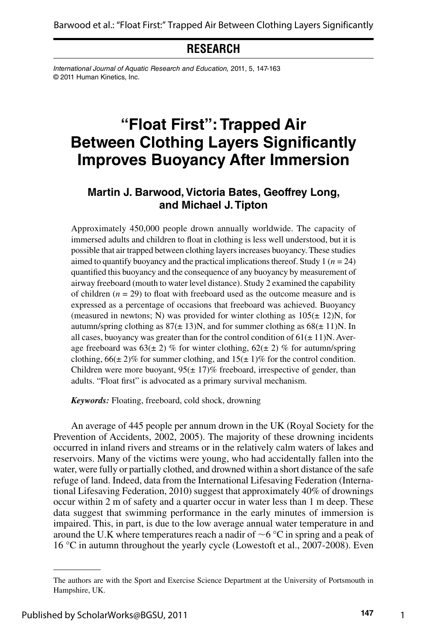**RESEARCH**

*International Journal of Aquatic Research and Education,* 2011, 5, 147-163 © 2011 Human Kinetics, Inc.

## **"Float First": Trapped Air Between Clothing Layers Significantly Improves Buoyancy After Immersion**

#### **Martin J. Barwood, Victoria Bates, Geoffrey Long, and Michael J. Tipton**

Approximately 450,000 people drown annually worldwide. The capacity of immersed adults and children to float in clothing is less well understood, but it is possible that air trapped between clothing layers increases buoyancy. These studies aimed to quantify buoyancy and the practical implications thereof. Study 1 (*n =* 24) quantified this buoyancy and the consequence of any buoyancy by measurement of airway freeboard (mouth to water level distance). Study 2 examined the capability of children  $(n = 29)$  to float with freeboard used as the outcome measure and is expressed as a percentage of occasions that freeboard was achieved. Buoyancy (measured in newtons; N) was provided for winter clothing as  $105(\pm 12)$ N, for autumn/spring clothing as  $87(\pm 13)$ N, and for summer clothing as  $68(\pm 11)$ N. In all cases, buoyancy was greater than for the control condition of  $61(\pm 11)$ N. Average freeboard was  $63(\pm 2)$  % for winter clothing,  $62(\pm 2)$  % for autumn/spring clothing,  $66(\pm 2)\%$  for summer clothing, and  $15(\pm 1)\%$  for the control condition. Children were more buoyant,  $95(\pm 17)\%$  freeboard, irrespective of gender, than adults. "Float first" is advocated as a primary survival mechanism.

*Keywords:* Floating, freeboard, cold shock, drowning

An average of 445 people per annum drown in the UK (Royal Society for the Prevention of Accidents, 2002, 2005). The majority of these drowning incidents occurred in inland rivers and streams or in the relatively calm waters of lakes and reservoirs. Many of the victims were young, who had accidentally fallen into the water, were fully or partially clothed, and drowned within a short distance of the safe refuge of land. Indeed, data from the International Lifesaving Federation (International Lifesaving Federation, 2010) suggest that approximately 40% of drownings occur within 2 m of safety and a quarter occur in water less than 1 m deep. These data suggest that swimming performance in the early minutes of immersion is impaired. This, in part, is due to the low average annual water temperature in and around the U.K where temperatures reach a nadir of  $\sim$ 6 °C in spring and a peak of 16 °C in autumn throughout the yearly cycle (Lowestoft et al., 2007-2008). Even

1

The authors are with the Sport and Exercise Science Department at the University of Portsmouth in Hampshire, UK.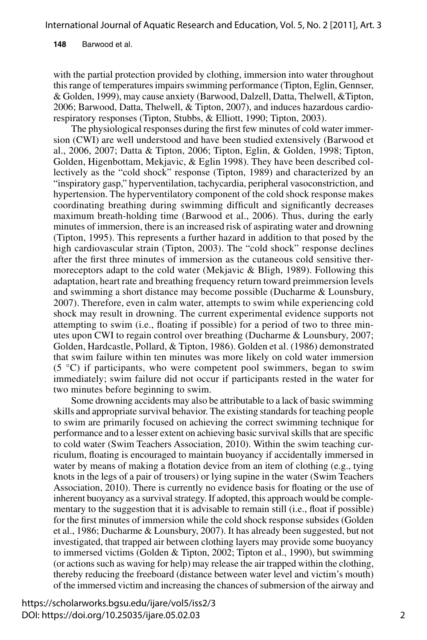**148** Barwood et al.

with the partial protection provided by clothing, immersion into water throughout this range of temperatures impairs swimming performance (Tipton, Eglin, Gennser, & Golden, 1999), may cause anxiety (Barwood, Dalzell, Datta, Thelwell, &Tipton, 2006; Barwood, Datta, Thelwell, & Tipton, 2007), and induces hazardous cardiorespiratory responses (Tipton, Stubbs, & Elliott, 1990; Tipton, 2003).

The physiological responses during the first few minutes of cold water immersion (CWI) are well understood and have been studied extensively (Barwood et al., 2006, 2007; Datta & Tipton, 2006; Tipton, Eglin, & Golden, 1998; Tipton, Golden, Higenbottam, Mekjavic, & Eglin 1998). They have been described collectively as the "cold shock" response (Tipton, 1989) and characterized by an "inspiratory gasp," hyperventilation, tachycardia, peripheral vasoconstriction, and hypertension. The hyperventilatory component of the cold shock response makes coordinating breathing during swimming difficult and significantly decreases maximum breath-holding time (Barwood et al., 2006). Thus, during the early minutes of immersion, there is an increased risk of aspirating water and drowning (Tipton, 1995). This represents a further hazard in addition to that posed by the high cardiovascular strain (Tipton, 2003). The "cold shock" response declines after the first three minutes of immersion as the cutaneous cold sensitive thermoreceptors adapt to the cold water (Mekjavic & Bligh, 1989). Following this adaptation, heart rate and breathing frequency return toward preimmersion levels and swimming a short distance may become possible (Ducharme & Lounsbury, 2007). Therefore, even in calm water, attempts to swim while experiencing cold shock may result in drowning. The current experimental evidence supports not attempting to swim (i.e., floating if possible) for a period of two to three minutes upon CWI to regain control over breathing (Ducharme & Lounsbury, 2007; Golden, Hardcastle, Pollard, & Tipton, 1986). Golden et al. (1986) demonstrated that swim failure within ten minutes was more likely on cold water immersion  $(5 \degree C)$  if participants, who were competent pool swimmers, began to swim immediately; swim failure did not occur if participants rested in the water for two minutes before beginning to swim.

Some drowning accidents may also be attributable to a lack of basic swimming skills and appropriate survival behavior. The existing standards for teaching people to swim are primarily focused on achieving the correct swimming technique for performance and to a lesser extent on achieving basic survival skills that are specific to cold water (Swim Teachers Association, 2010). Within the swim teaching curriculum, floating is encouraged to maintain buoyancy if accidentally immersed in water by means of making a flotation device from an item of clothing (e.g., tying knots in the legs of a pair of trousers) or lying supine in the water (Swim Teachers Association, 2010). There is currently no evidence basis for floating or the use of inherent buoyancy as a survival strategy. If adopted, this approach would be complementary to the suggestion that it is advisable to remain still (i.e., float if possible) for the first minutes of immersion while the cold shock response subsides (Golden et al., 1986; Ducharme & Lounsbury, 2007). It has already been suggested, but not investigated, that trapped air between clothing layers may provide some buoyancy to immersed victims (Golden & Tipton, 2002; Tipton et al., 1990), but swimming (or actions such as waving for help) may release the air trapped within the clothing, thereby reducing the freeboard (distance between water level and victim's mouth) of the immersed victim and increasing the chances of submersion of the airway and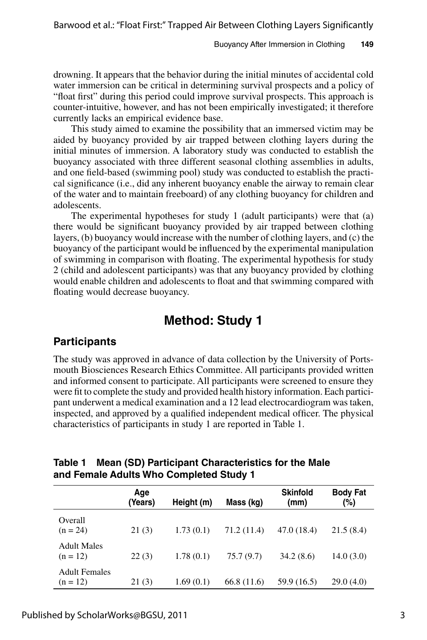drowning. It appears that the behavior during the initial minutes of accidental cold water immersion can be critical in determining survival prospects and a policy of "float first" during this period could improve survival prospects. This approach is counter-intuitive, however, and has not been empirically investigated; it therefore currently lacks an empirical evidence base.

This study aimed to examine the possibility that an immersed victim may be aided by buoyancy provided by air trapped between clothing layers during the initial minutes of immersion. A laboratory study was conducted to establish the buoyancy associated with three different seasonal clothing assemblies in adults, and one field-based (swimming pool) study was conducted to establish the practical significance (i.e., did any inherent buoyancy enable the airway to remain clear of the water and to maintain freeboard) of any clothing buoyancy for children and adolescents.

The experimental hypotheses for study 1 (adult participants) were that (a) there would be significant buoyancy provided by air trapped between clothing layers, (b) buoyancy would increase with the number of clothing layers, and (c) the buoyancy of the participant would be influenced by the experimental manipulation of swimming in comparison with floating. The experimental hypothesis for study 2 (child and adolescent participants) was that any buoyancy provided by clothing would enable children and adolescents to float and that swimming compared with floating would decrease buoyancy.

## **Method: Study 1**

#### **Participants**

The study was approved in advance of data collection by the University of Portsmouth Biosciences Research Ethics Committee. All participants provided written and informed consent to participate. All participants were screened to ensure they were fit to complete the study and provided health history information. Each participant underwent a medical examination and a 12 lead electrocardiogram was taken, inspected, and approved by a qualified independent medical officer. The physical characteristics of participants in study 1 are reported in Table 1.

|                                    | Age<br>(Years) | Height (m) | Mass (kg)   | <b>Skinfold</b><br>(mm) | <b>Body Fat</b><br>(%) |
|------------------------------------|----------------|------------|-------------|-------------------------|------------------------|
| Overall<br>$(n = 24)$              | 21(3)          | 1.73(0.1)  | 71.2 (11.4) | 47.0 (18.4)             | 21.5(8.4)              |
| <b>Adult Males</b><br>$(n = 12)$   | 22(3)          | 1.78(0.1)  | 75.7 (9.7)  | 34.2(8.6)               | 14.0(3.0)              |
| <b>Adult Females</b><br>$(n = 12)$ | 21(3)          | 1.69(0.1)  | 66.8(11.6)  | 59.9 (16.5)             | 29.0(4.0)              |

#### **Table 1 Mean (SD) Participant Characteristics for the Male and Female Adults Who Completed Study 1**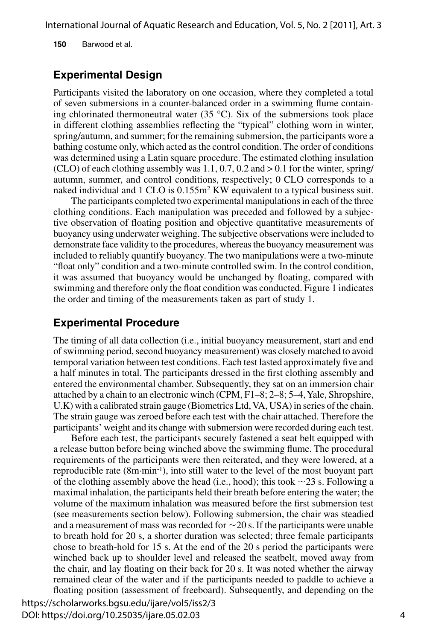**150** Barwood et al.

#### **Experimental Design**

Participants visited the laboratory on one occasion, where they completed a total of seven submersions in a counter-balanced order in a swimming flume containing chlorinated thermoneutral water (35  $^{\circ}$ C). Six of the submersions took place in different clothing assemblies reflecting the "typical" clothing worn in winter, spring/autumn, and summer; for the remaining submersion, the participants wore a bathing costume only, which acted as the control condition. The order of conditions was determined using a Latin square procedure. The estimated clothing insulation  $(CLO)$  of each clothing assembly was 1.1, 0.7, 0.2 and  $> 0.1$  for the winter, spring/ autumn, summer, and control conditions, respectively; 0 CLO corresponds to a naked individual and 1 CLO is  $0.155m^2$  KW equivalent to a typical business suit.

The participants completed two experimental manipulations in each of the three clothing conditions. Each manipulation was preceded and followed by a subjective observation of floating position and objective quantitative measurements of buoyancy using underwater weighing. The subjective observations were included to demonstrate face validity to the procedures, whereas the buoyancy measurement was included to reliably quantify buoyancy. The two manipulations were a two-minute "float only" condition and a two-minute controlled swim. In the control condition, it was assumed that buoyancy would be unchanged by floating, compared with swimming and therefore only the float condition was conducted. Figure 1 indicates the order and timing of the measurements taken as part of study 1.

#### **Experimental Procedure**

The timing of all data collection (i.e., initial buoyancy measurement, start and end of swimming period, second buoyancy measurement) was closely matched to avoid temporal variation between test conditions. Each test lasted approximately five and a half minutes in total. The participants dressed in the first clothing assembly and entered the environmental chamber. Subsequently, they sat on an immersion chair attached by a chain to an electronic winch (CPM, F1–8; 2–8; 5–4, Yale, Shropshire, U.K) with a calibrated strain gauge (Biometrics Ltd, VA, USA) in series of the chain. The strain gauge was zeroed before each test with the chair attached. Therefore the participants' weight and its change with submersion were recorded during each test.

Before each test, the participants securely fastened a seat belt equipped with a release button before being winched above the swimming flume. The procedural requirements of the participants were then reiterated, and they were lowered, at a reproducible rate (8m∙min-1), into still water to the level of the most buoyant part of the clothing assembly above the head (i.e., hood); this took ∼23 s. Following a maximal inhalation, the participants held their breath before entering the water; the volume of the maximum inhalation was measured before the first submersion test (see measurements section below). Following submersion, the chair was steadied and a measurement of mass was recorded for ∼20 s. If the participants were unable to breath hold for 20 s, a shorter duration was selected; three female participants chose to breath-hold for 15 s. At the end of the 20 s period the participants were winched back up to shoulder level and released the seatbelt, moved away from the chair, and lay floating on their back for 20 s. It was noted whether the airway remained clear of the water and if the participants needed to paddle to achieve a floating position (assessment of freeboard). Subsequently, and depending on the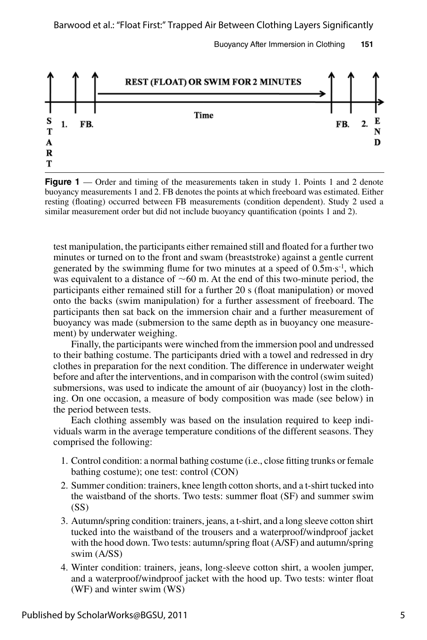Buoyancy After Immersion in Clothing **151**



**Figure 1** — Order and timing of the measurements taken in study 1. Points 1 and 2 denote buoyancy measurements 1 and 2. FB denotes the points at which freeboard was estimated. Either resting (floating) occurred between FB measurements (condition dependent). Study 2 used a similar measurement order but did not include buoyancy quantification (points 1 and 2).

test manipulation, the participants either remained still and floated for a further two minutes or turned on to the front and swam (breaststroke) against a gentle current generated by the swimming flume for two minutes at a speed of 0.5m⋅s<sup>-1</sup>, which was equivalent to a distance of ∼60 m. At the end of this two-minute period, the participants either remained still for a further 20 s (float manipulation) or moved onto the backs (swim manipulation) for a further assessment of freeboard. The participants then sat back on the immersion chair and a further measurement of buoyancy was made (submersion to the same depth as in buoyancy one measurement) by underwater weighing.

Finally, the participants were winched from the immersion pool and undressed to their bathing costume. The participants dried with a towel and redressed in dry clothes in preparation for the next condition. The difference in underwater weight before and after the interventions, and in comparison with the control (swim suited) submersions, was used to indicate the amount of air (buoyancy) lost in the clothing. On one occasion, a measure of body composition was made (see below) in the period between tests.

Each clothing assembly was based on the insulation required to keep individuals warm in the average temperature conditions of the different seasons. They comprised the following:

- 1. Control condition: a normal bathing costume (i.e., close fitting trunks or female bathing costume); one test: control (CON)
- 2. Summer condition: trainers, knee length cotton shorts, and a t-shirt tucked into the waistband of the shorts. Two tests: summer float (SF) and summer swim  $(SS)$
- 3. Autumn/spring condition: trainers, jeans, a t-shirt, and a long sleeve cotton shirt tucked into the waistband of the trousers and a waterproof/windproof jacket with the hood down. Two tests: autumn/spring float (A/SF) and autumn/spring swim (A/SS)
- 4. Winter condition: trainers, jeans, long-sleeve cotton shirt, a woolen jumper, and a waterproof/windproof jacket with the hood up. Two tests: winter float (WF) and winter swim (WS)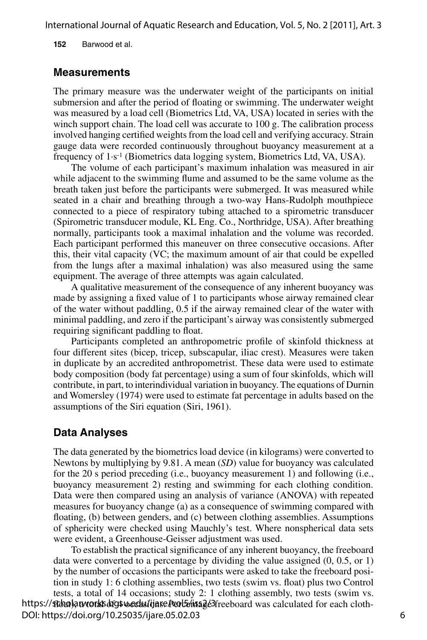**152** Barwood et al.

#### **Measurements**

The primary measure was the underwater weight of the participants on initial submersion and after the period of floating or swimming. The underwater weight was measured by a load cell (Biometrics Ltd, VA, USA) located in series with the winch support chain. The load cell was accurate to 100 g. The calibration process involved hanging certified weights from the load cell and verifying accuracy. Strain gauge data were recorded continuously throughout buoyancy measurement at a frequency of 1∙s-1 (Biometrics data logging system, Biometrics Ltd, VA, USA).

The volume of each participant's maximum inhalation was measured in air while adjacent to the swimming flume and assumed to be the same volume as the breath taken just before the participants were submerged. It was measured while seated in a chair and breathing through a two-way Hans-Rudolph mouthpiece connected to a piece of respiratory tubing attached to a spirometric transducer (Spirometric transducer module, KL Eng. Co., Northridge, USA). After breathing normally, participants took a maximal inhalation and the volume was recorded. Each participant performed this maneuver on three consecutive occasions. After this, their vital capacity (VC; the maximum amount of air that could be expelled from the lungs after a maximal inhalation) was also measured using the same equipment. The average of three attempts was again calculated.

A qualitative measurement of the consequence of any inherent buoyancy was made by assigning a fixed value of 1 to participants whose airway remained clear of the water without paddling, 0.5 if the airway remained clear of the water with minimal paddling, and zero if the participant's airway was consistently submerged requiring significant paddling to float.

Participants completed an anthropometric profile of skinfold thickness at four different sites (bicep, tricep, subscapular, iliac crest). Measures were taken in duplicate by an accredited anthropometrist. These data were used to estimate body composition (body fat percentage) using a sum of four skinfolds, which will contribute, in part, to interindividual variation in buoyancy. The equations of Durnin and Womersley (1974) were used to estimate fat percentage in adults based on the assumptions of the Siri equation (Siri, 1961).

#### **Data Analyses**

The data generated by the biometrics load device (in kilograms) were converted to Newtons by multiplying by 9.81. A mean (*SD*) value for buoyancy was calculated for the 20 s period preceding (i.e., buoyancy measurement 1) and following (i.e., buoyancy measurement 2) resting and swimming for each clothing condition. Data were then compared using an analysis of variance (ANOVA) with repeated measures for buoyancy change (a) as a consequence of swimming compared with floating, (b) between genders, and (c) between clothing assemblies. Assumptions of sphericity were checked using Mauchly's test. Where nonspherical data sets were evident, a Greenhouse-Geisser adjustment was used.

To establish the practical significance of any inherent buoyancy, the freeboard data were converted to a percentage by dividing the value assigned (0, 0.5, or 1) by the number of occasions the participants were asked to take the freeboard position in study 1: 6 clothing assemblies, two tests (swim vs. float) plus two Control tests, a total of 14 occasions; study 2: 1 clothing assembly, two tests (swim vs. https://stono.aworks.orgsweedu/ijase/vol5onsage3freeboard was calculated for each cloth-DOI: https://doi.org/10.25035/ijare.05.02.03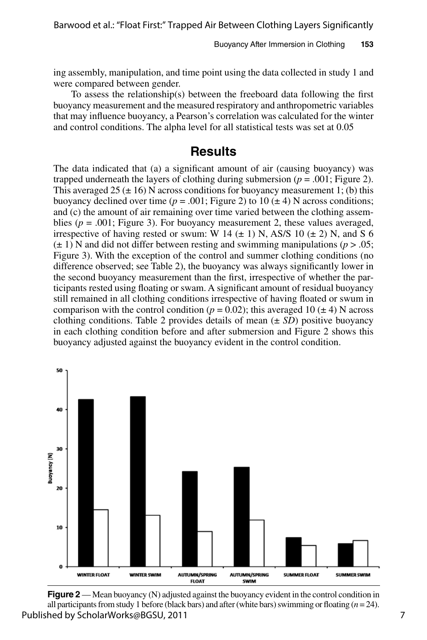ing assembly, manipulation, and time point using the data collected in study 1 and were compared between gender.

To assess the relationship(s) between the freeboard data following the first buoyancy measurement and the measured respiratory and anthropometric variables that may influence buoyancy, a Pearson's correlation was calculated for the winter and control conditions. The alpha level for all statistical tests was set at 0.05

## **Results**

The data indicated that (a) a significant amount of air (causing buoyancy) was trapped underneath the layers of clothing during submersion ( $p = .001$ ; Figure 2). This averaged 25 ( $\pm$  16) N across conditions for buoyancy measurement 1; (b) this buoyancy declined over time ( $p = .001$ ; Figure 2) to 10 ( $\pm$  4) N across conditions; and (c) the amount of air remaining over time varied between the clothing assemblies ( $p = .001$ ; Figure 3). For buoyancy measurement 2, these values averaged, irrespective of having rested or swum: W 14  $(\pm 1)$  N, AS/S 10  $(\pm 2)$  N, and S 6  $(\pm 1)$  N and did not differ between resting and swimming manipulations ( $p > .05$ ; Figure 3). With the exception of the control and summer clothing conditions (no difference observed; see Table 2), the buoyancy was always significantly lower in the second buoyancy measurement than the first, irrespective of whether the participants rested using floating or swam. A significant amount of residual buoyancy still remained in all clothing conditions irrespective of having floated or swum in comparison with the control condition ( $p = 0.02$ ); this averaged 10 ( $\pm$  4) N across clothing conditions. Table 2 provides details of mean  $(\pm SD)$  positive buoyancy in each clothing condition before and after submersion and Figure 2 shows this buoyancy adjusted against the buoyancy evident in the control condition.



**Figure 2** — Mean buoyancy (N) adjusted against the buoyancy evident in the control condition in all participants from study 1 before (black bars) and after (white bars) swimming or floating  $(n = 24)$ . Published by ScholarWorks@BGSU, 2011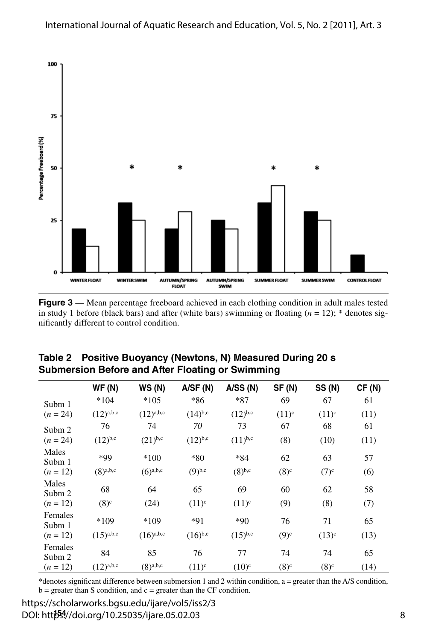

**Figure 3** — Mean percentage freeboard achieved in each clothing condition in adult males tested in study 1 before (black bars) and after (white bars) swimming or floating  $(n = 12)$ ; \* denotes significantly different to control condition.

|                   | <b>WF (N)</b>  | WS(N)          | A/SF(N)      | A/SS(N)      | SF(N)    | <b>SS (N)</b> | CF(N) |
|-------------------|----------------|----------------|--------------|--------------|----------|---------------|-------|
| Subm 1            | $*104$         | $*105$         | *86          | *87          | 69       | 67            | 61    |
| $(n = 24)$        | $(12)^{a,b,c}$ | $(12)^{a,b,c}$ | $(14)^{b,c}$ | $(12)^{b,c}$ | $(11)^c$ | $(11)^c$      | (11)  |
| Subm 2            | 76             | 74             | 70           | 73           | 67       | 68            | 61    |
| $(n = 24)$        | $(12)^{b,c}$   | $(21)^{b,c}$   | $(12)^{b,c}$ | $(11)^{b,c}$ | (8)      | (10)          | (11)  |
| Males<br>Subm 1   | *99            | $*100$         | $*80$        | $*84$        | 62       | 63            | 57    |
| $(n = 12)$        | $(8)^{a,b,c}$  | $(6)^{a,b,c}$  | $(9)^{b,c}$  | $(8)^{b,c}$  | $(8)^c$  | $(7)^c$       | (6)   |
| Males<br>Subm 2   | 68             | 64             | 65           | 69           | 60       | 62            | 58    |
| $(n = 12)$        | $(8)^c$        | (24)           | $(11)^{c}$   | $(11)^c$     | (9)      | (8)           | (7)   |
| Females<br>Subm 1 | $*109$         | $*109$         | $*91$        | $*90$        | 76       | 71            | 65    |
| $(n = 12)$        | $(15)^{a,b,c}$ | $(16)^{a,b,c}$ | $(16)^{b,c}$ | $(15)^{b,c}$ | $(9)^c$  | $(13)^c$      | (13)  |
| Females<br>Subm 2 | 84             | 85             | 76           | 77           | 74       | 74            | 65    |
| $(n = 12)$        | $(12)^{a,b,c}$ | $(8)^{a,b,c}$  | $(11)^c$     | $(10)^c$     | $(8)^c$  | $(8)^c$       | (14)  |

**Table 2 Positive Buoyancy (Newtons, N) Measured During 20 s Submersion Before and After Floating or Swimming**

\*denotes significant difference between submersion 1 and 2 within condition, a = greater than the A/S condition,  $b =$  greater than S condition, and  $c =$  greater than the CF condition.

DOI: http<sup>554</sup>//doi.org/10.25035/ijare.05.02.03 https://scholarworks.bgsu.edu/ijare/vol5/iss2/3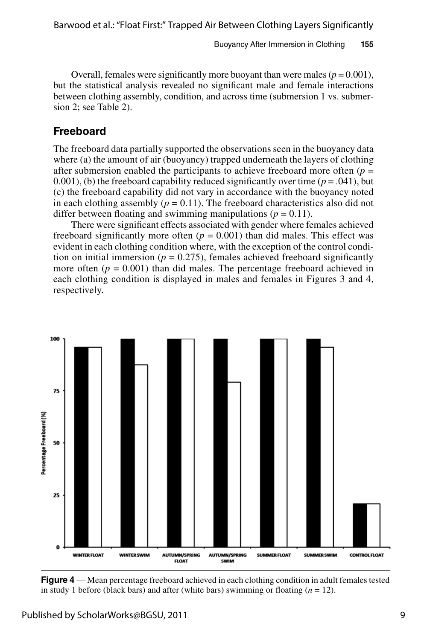Overall, females were significantly more buoyant than were males  $(p = 0.001)$ , but the statistical analysis revealed no significant male and female interactions between clothing assembly, condition, and across time (submersion 1 vs. submersion 2; see Table 2).

#### **Freeboard**

The freeboard data partially supported the observations seen in the buoyancy data where (a) the amount of air (buoyancy) trapped underneath the layers of clothing after submersion enabled the participants to achieve freeboard more often  $(p =$ 0.001), (b) the freeboard capability reduced significantly over time  $(p = .041)$ , but (c) the freeboard capability did not vary in accordance with the buoyancy noted in each clothing assembly  $(p = 0.11)$ . The freeboard characteristics also did not differ between floating and swimming manipulations ( $p = 0.11$ ).

There were significant effects associated with gender where females achieved freeboard significantly more often  $(p = 0.001)$  than did males. This effect was evident in each clothing condition where, with the exception of the control condition on initial immersion ( $p = 0.275$ ), females achieved freeboard significantly more often  $(p = 0.001)$  than did males. The percentage freeboard achieved in each clothing condition is displayed in males and females in Figures 3 and 4, respectively.



**Figure 4** — Mean percentage freeboard achieved in each clothing condition in adult females tested in study 1 before (black bars) and after (white bars) swimming or floating  $(n = 12)$ .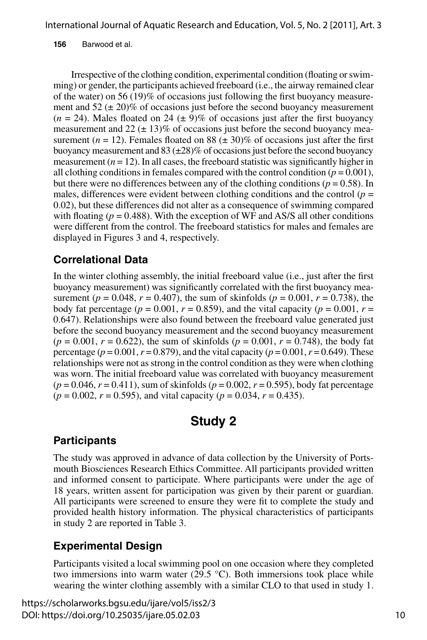**156** Barwood et al.

Irrespective of the clothing condition, experimental condition (floating or swimming) or gender, the participants achieved freeboard (i.e., the airway remained clear of the water) on 56 (19)% of occasions just following the first buoyancy measurement and  $52 (\pm 20)\%$  of occasions just before the second buoyancy measurement  $(n = 24)$ . Males floated on 24 ( $\pm$  9)% of occasions just after the first buoyancy measurement and  $22 (\pm 13)\%$  of occasions just before the second buoyancy measurement ( $n = 12$ ). Females floated on 88 ( $\pm$  30)% of occasions just after the first buoyancy measurement and  $83 (\pm 28)\%$  of occasions just before the second buoyancy measurement  $(n = 12)$ . In all cases, the freeboard statistic was significantly higher in all clothing conditions in females compared with the control condition  $(p = 0.001)$ , but there were no differences between any of the clothing conditions ( $p = 0.58$ ). In males, differences were evident between clothing conditions and the control ( $p =$ 0.02), but these differences did not alter as a consequence of swimming compared with floating ( $p = 0.488$ ). With the exception of WF and AS/S all other conditions were different from the control. The freeboard statistics for males and females are displayed in Figures 3 and 4, respectively.

## **Correlational Data**

In the winter clothing assembly, the initial freeboard value (i.e., just after the first buoyancy measurement) was significantly correlated with the first buoyancy measurement ( $p = 0.048$ ,  $r = 0.407$ ), the sum of skinfolds ( $p = 0.001$ ,  $r = 0.738$ ), the body fat percentage ( $p = 0.001$ ,  $r = 0.859$ ), and the vital capacity ( $p = 0.001$ ,  $r =$ 0.647). Relationships were also found between the freeboard value generated just before the second buoyancy measurement and the second buoyancy measurement  $(p = 0.001, r = 0.622)$ , the sum of skinfolds  $(p = 0.001, r = 0.748)$ , the body fat percentage ( $p = 0.001$ ,  $r = 0.879$ ), and the vital capacity ( $p = 0.001$ ,  $r = 0.649$ ). These relationships were not as strong in the control condition as they were when clothing was worn. The initial freeboard value was correlated with buoyancy measurement  $(p = 0.046, r = 0.411)$ , sum of skinfolds  $(p = 0.002, r = 0.595)$ , body fat percentage (*p* = 0.002, *r* = 0.595), and vital capacity (*p* = 0.034, *r* = 0.435).

## **Study 2**

## **Participants**

The study was approved in advance of data collection by the University of Portsmouth Biosciences Research Ethics Committee. All participants provided written and informed consent to participate. Where participants were under the age of 18 years, written assent for participation was given by their parent or guardian. All participants were screened to ensure they were fit to complete the study and provided health history information. The physical characteristics of participants in study 2 are reported in Table 3.

## **Experimental Design**

Participants visited a local swimming pool on one occasion where they completed two immersions into warm water (29.5  $\degree$ C). Both immersions took place while wearing the winter clothing assembly with a similar CLO to that used in study 1.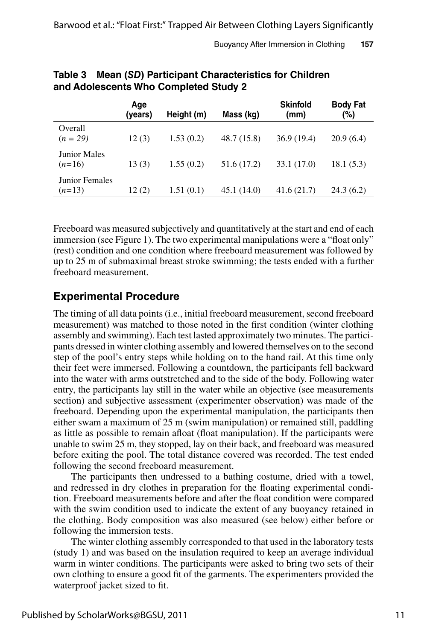|                                 | Age<br>(years) | Height (m) | Mass (kg)   | <b>Skinfold</b><br>(mm) | <b>Body Fat</b><br>(%) |
|---------------------------------|----------------|------------|-------------|-------------------------|------------------------|
| Overall<br>$(n = 29)$           | 12(3)          | 1.53(0.2)  | 48.7 (15.8) | 36.9(19.4)              | 20.9(6.4)              |
| <b>Junior Males</b><br>$(n=16)$ | 13(3)          | 1.55(0.2)  | 51.6 (17.2) | 33.1 (17.0)             | 18.1(5.3)              |
| Junior Females<br>$(n=13)$      | 12(2)          | 1.51(0.1)  | 45.1 (14.0) | 41.6(21.7)              | 24.3(6.2)              |

**Table 3 Mean (***SD***) Participant Characteristics for Children and Adolescents Who Completed Study 2**

Freeboard was measured subjectively and quantitatively at the start and end of each immersion (see Figure 1). The two experimental manipulations were a "float only" (rest) condition and one condition where freeboard measurement was followed by up to 25 m of submaximal breast stroke swimming; the tests ended with a further freeboard measurement.

#### **Experimental Procedure**

The timing of all data points (i.e., initial freeboard measurement, second freeboard measurement) was matched to those noted in the first condition (winter clothing assembly and swimming). Each test lasted approximately two minutes. The participants dressed in winter clothing assembly and lowered themselves on to the second step of the pool's entry steps while holding on to the hand rail. At this time only their feet were immersed. Following a countdown, the participants fell backward into the water with arms outstretched and to the side of the body. Following water entry, the participants lay still in the water while an objective (see measurements section) and subjective assessment (experimenter observation) was made of the freeboard. Depending upon the experimental manipulation, the participants then either swam a maximum of 25 m (swim manipulation) or remained still, paddling as little as possible to remain afloat (float manipulation). If the participants were unable to swim 25 m, they stopped, lay on their back, and freeboard was measured before exiting the pool. The total distance covered was recorded. The test ended following the second freeboard measurement.

The participants then undressed to a bathing costume, dried with a towel, and redressed in dry clothes in preparation for the floating experimental condition. Freeboard measurements before and after the float condition were compared with the swim condition used to indicate the extent of any buoyancy retained in the clothing. Body composition was also measured (see below) either before or following the immersion tests.

The winter clothing assembly corresponded to that used in the laboratory tests (study 1) and was based on the insulation required to keep an average individual warm in winter conditions. The participants were asked to bring two sets of their own clothing to ensure a good fit of the garments. The experimenters provided the waterproof jacket sized to fit.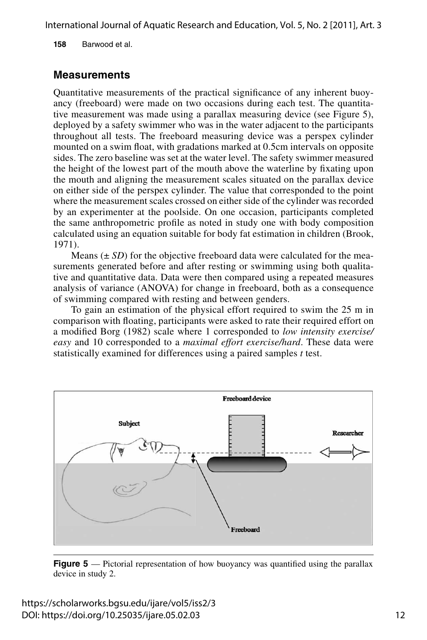**158** Barwood et al.

### **Measurements**

Quantitative measurements of the practical significance of any inherent buoyancy (freeboard) were made on two occasions during each test. The quantitative measurement was made using a parallax measuring device (see Figure 5), deployed by a safety swimmer who was in the water adjacent to the participants throughout all tests. The freeboard measuring device was a perspex cylinder mounted on a swim float, with gradations marked at 0.5cm intervals on opposite sides. The zero baseline was set at the water level. The safety swimmer measured the height of the lowest part of the mouth above the waterline by fixating upon the mouth and aligning the measurement scales situated on the parallax device on either side of the perspex cylinder. The value that corresponded to the point where the measurement scales crossed on either side of the cylinder was recorded by an experimenter at the poolside. On one occasion, participants completed the same anthropometric profile as noted in study one with body composition calculated using an equation suitable for body fat estimation in children (Brook, 1971).

Means  $(\pm SD)$  for the objective freeboard data were calculated for the measurements generated before and after resting or swimming using both qualitative and quantitative data. Data were then compared using a repeated measures analysis of variance (ANOVA) for change in freeboard, both as a consequence of swimming compared with resting and between genders.

To gain an estimation of the physical effort required to swim the 25 m in comparison with floating, participants were asked to rate their required effort on a modified Borg (1982) scale where 1 corresponded to *low intensity exercise/ easy* and 10 corresponded to a *maximal effort exercise/hard*. These data were statistically examined for differences using a paired samples *t* test.



**Figure 5** — Pictorial representation of how buoyancy was quantified using the parallax device in study 2.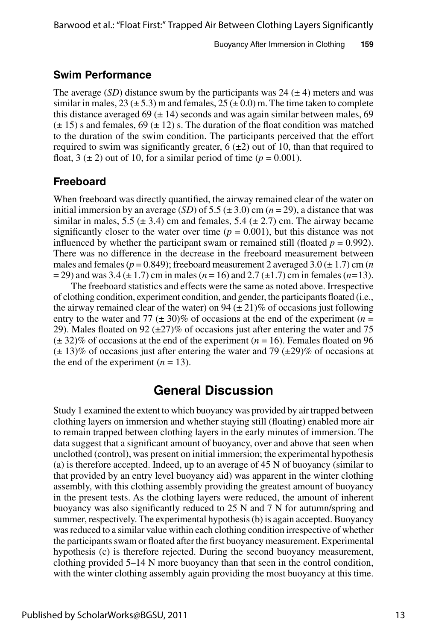#### **Swim Performance**

The average  $(SD)$  distance swum by the participants was 24  $(\pm 4)$  meters and was similar in males,  $23 (\pm 5.3)$  m and females,  $25 (\pm 0.0)$  m. The time taken to complete this distance averaged 69 ( $\pm$  14) seconds and was again similar between males, 69  $(\pm 15)$  s and females, 69  $(\pm 12)$  s. The duration of the float condition was matched to the duration of the swim condition. The participants perceived that the effort required to swim was significantly greater,  $6 (\pm 2)$  out of 10, than that required to float,  $3 \leq 2$ ) out of 10, for a similar period of time ( $p = 0.001$ ).

#### **Freeboard**

When freeboard was directly quantified, the airway remained clear of the water on initial immersion by an average (*SD*) of 5.5 ( $\pm$  3.0) cm ( $n$  = 29), a distance that was similar in males, 5.5 ( $\pm$  3.4) cm and females, 5.4 ( $\pm$  2.7) cm. The airway became significantly closer to the water over time  $(p = 0.001)$ , but this distance was not influenced by whether the participant swam or remained still (floated  $p = 0.992$ ). There was no difference in the decrease in the freeboard measurement between males and females ( $p = 0.849$ ); freeboard measurement 2 averaged  $3.0 \ (\pm 1.7)$  cm (*n*) = 29) and was 3.4 (± 1.7) cm in males (*n* = 16) and 2.7 (±1.7) cm in females (*n=*13).

The freeboard statistics and effects were the same as noted above. Irrespective of clothing condition, experiment condition, and gender, the participants floated (i.e., the airway remained clear of the water) on 94  $(\pm 21)$ % of occasions just following entry to the water and 77 ( $\pm$  30)% of occasions at the end of the experiment ( $n =$ 29). Males floated on 92 ( $\pm$ 27)% of occasions just after entering the water and 75  $(\pm 32)\%$  of occasions at the end of the experiment ( $n = 16$ ). Females floated on 96  $(\pm 13)\%$  of occasions just after entering the water and 79 ( $\pm 29\%$  of occasions at the end of the experiment  $(n = 13)$ .

## **General Discussion**

Study 1 examined the extent to which buoyancy was provided by air trapped between clothing layers on immersion and whether staying still (floating) enabled more air to remain trapped between clothing layers in the early minutes of immersion. The data suggest that a significant amount of buoyancy, over and above that seen when unclothed (control), was present on initial immersion; the experimental hypothesis (a) is therefore accepted. Indeed, up to an average of 45 N of buoyancy (similar to that provided by an entry level buoyancy aid) was apparent in the winter clothing assembly, with this clothing assembly providing the greatest amount of buoyancy in the present tests. As the clothing layers were reduced, the amount of inherent buoyancy was also significantly reduced to 25 N and 7 N for autumn/spring and summer, respectively. The experimental hypothesis (b) is again accepted. Buoyancy was reduced to a similar value within each clothing condition irrespective of whether the participants swam or floated after the first buoyancy measurement. Experimental hypothesis (c) is therefore rejected. During the second buoyancy measurement, clothing provided 5–14 N more buoyancy than that seen in the control condition, with the winter clothing assembly again providing the most buoyancy at this time.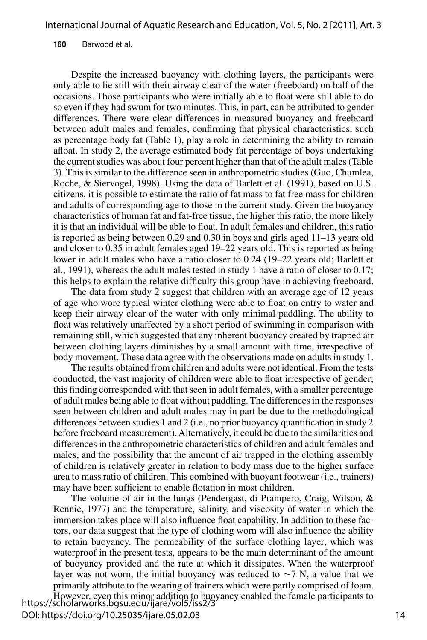#### **160** Barwood et al.

Despite the increased buoyancy with clothing layers, the participants were only able to lie still with their airway clear of the water (freeboard) on half of the occasions. Those participants who were initially able to float were still able to do so even if they had swum for two minutes. This, in part, can be attributed to gender differences. There were clear differences in measured buoyancy and freeboard between adult males and females, confirming that physical characteristics, such as percentage body fat (Table 1), play a role in determining the ability to remain afloat. In study 2, the average estimated body fat percentage of boys undertaking the current studies was about four percent higher than that of the adult males (Table 3). This is similar to the difference seen in anthropometric studies (Guo, Chumlea, Roche, & Siervogel, 1998). Using the data of Barlett et al. (1991), based on U.S. citizens, it is possible to estimate the ratio of fat mass to fat free mass for children and adults of corresponding age to those in the current study. Given the buoyancy characteristics of human fat and fat-free tissue, the higher this ratio, the more likely it is that an individual will be able to float. In adult females and children, this ratio is reported as being between 0.29 and 0.30 in boys and girls aged 11–13 years old and closer to 0.35 in adult females aged 19–22 years old. This is reported as being lower in adult males who have a ratio closer to 0.24 (19–22 years old; Barlett et al., 1991), whereas the adult males tested in study 1 have a ratio of closer to 0.17; this helps to explain the relative difficulty this group have in achieving freeboard.

The data from study 2 suggest that children with an average age of 12 years of age who wore typical winter clothing were able to float on entry to water and keep their airway clear of the water with only minimal paddling. The ability to float was relatively unaffected by a short period of swimming in comparison with remaining still, which suggested that any inherent buoyancy created by trapped air between clothing layers diminishes by a small amount with time, irrespective of body movement. These data agree with the observations made on adults in study 1.

The results obtained from children and adults were not identical. From the tests conducted, the vast majority of children were able to float irrespective of gender; this finding corresponded with that seen in adult females, with a smaller percentage of adult males being able to float without paddling. The differences in the responses seen between children and adult males may in part be due to the methodological differences between studies 1 and 2 (i.e., no prior buoyancy quantification in study 2 before freeboard measurement). Alternatively, it could be due to the similarities and differences in the anthropometric characteristics of children and adult females and males, and the possibility that the amount of air trapped in the clothing assembly of children is relatively greater in relation to body mass due to the higher surface area to mass ratio of children. This combined with buoyant footwear (i.e., trainers) may have been sufficient to enable flotation in most children.

The volume of air in the lungs (Pendergast, di Prampero, Craig, Wilson, & Rennie, 1977) and the temperature, salinity, and viscosity of water in which the immersion takes place will also influence float capability. In addition to these factors, our data suggest that the type of clothing worn will also influence the ability to retain buoyancy. The permeability of the surface clothing layer, which was waterproof in the present tests, appears to be the main determinant of the amount of buoyancy provided and the rate at which it dissipates. When the waterproof layer was not worn, the initial buoyancy was reduced to  $\sim$ 7 N, a value that we primarily attribute to the wearing of trainers which were partly comprised of foam.

However, even this minor addition to buoyancy enabled the female participants to https://scholarworks.bgsu.edu/ijare/vol5/iss2/3 DOI: https://doi.org/10.25035/ijare.05.02.03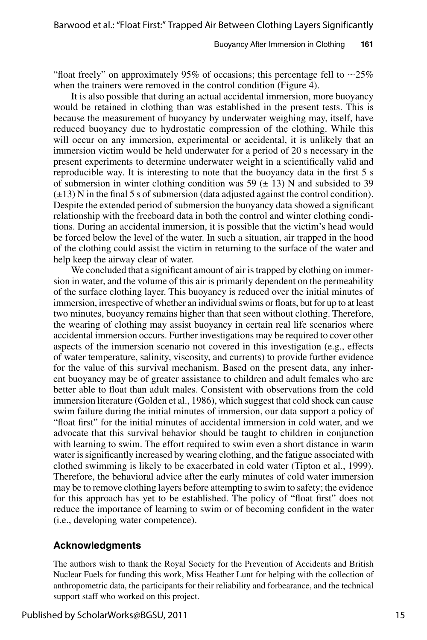"float freely" on approximately 95% of occasions; this percentage fell to  $\sim$ 25% when the trainers were removed in the control condition (Figure 4).

It is also possible that during an actual accidental immersion, more buoyancy would be retained in clothing than was established in the present tests. This is because the measurement of buoyancy by underwater weighing may, itself, have reduced buoyancy due to hydrostatic compression of the clothing. While this will occur on any immersion, experimental or accidental, it is unlikely that an immersion victim would be held underwater for a period of 20 s necessary in the present experiments to determine underwater weight in a scientifically valid and reproducible way. It is interesting to note that the buoyancy data in the first 5 s of submersion in winter clothing condition was 59  $(\pm 13)$  N and subsided to 39  $(\pm 13)$  N in the final 5 s of submersion (data adjusted against the control condition). Despite the extended period of submersion the buoyancy data showed a significant relationship with the freeboard data in both the control and winter clothing conditions. During an accidental immersion, it is possible that the victim's head would be forced below the level of the water. In such a situation, air trapped in the hood of the clothing could assist the victim in returning to the surface of the water and help keep the airway clear of water.

We concluded that a significant amount of air is trapped by clothing on immersion in water, and the volume of this air is primarily dependent on the permeability of the surface clothing layer. This buoyancy is reduced over the initial minutes of immersion, irrespective of whether an individual swims or floats, but for up to at least two minutes, buoyancy remains higher than that seen without clothing. Therefore, the wearing of clothing may assist buoyancy in certain real life scenarios where accidental immersion occurs. Further investigations may be required to cover other aspects of the immersion scenario not covered in this investigation (e.g., effects of water temperature, salinity, viscosity, and currents) to provide further evidence for the value of this survival mechanism. Based on the present data, any inherent buoyancy may be of greater assistance to children and adult females who are better able to float than adult males. Consistent with observations from the cold immersion literature (Golden et al., 1986), which suggest that cold shock can cause swim failure during the initial minutes of immersion, our data support a policy of "float first" for the initial minutes of accidental immersion in cold water, and we advocate that this survival behavior should be taught to children in conjunction with learning to swim. The effort required to swim even a short distance in warm water is significantly increased by wearing clothing, and the fatigue associated with clothed swimming is likely to be exacerbated in cold water (Tipton et al., 1999). Therefore, the behavioral advice after the early minutes of cold water immersion may be to remove clothing layers before attempting to swim to safety; the evidence for this approach has yet to be established. The policy of "float first" does not reduce the importance of learning to swim or of becoming confident in the water (i.e., developing water competence).

#### **Acknowledgments**

The authors wish to thank the Royal Society for the Prevention of Accidents and British Nuclear Fuels for funding this work, Miss Heather Lunt for helping with the collection of anthropometric data, the participants for their reliability and forbearance, and the technical support staff who worked on this project.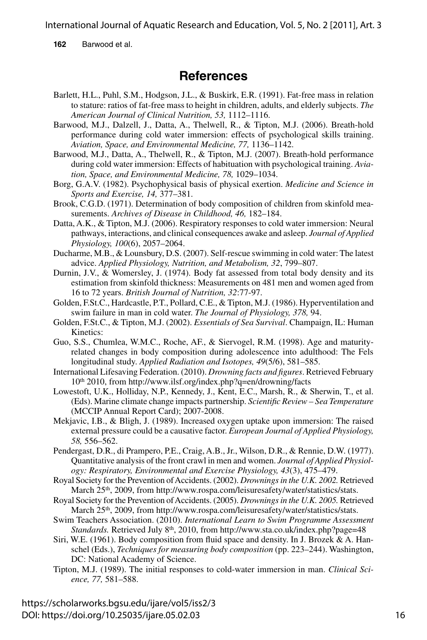**162** Barwood et al.

## **References**

- Barlett, H.L., Puhl, S.M., Hodgson, J.L., & Buskirk, E.R. (1991). Fat-free mass in relation to stature: ratios of fat-free mass to height in children, adults, and elderly subjects. *The American Journal of Clinical Nutrition, 53,* 1112–1116.
- Barwood, M.J., Dalzell, J., Datta, A., Thelwell, R., & Tipton, M.J. (2006). Breath-hold performance during cold water immersion: effects of psychological skills training. *Aviation, Space, and Environmental Medicine, 77,* 1136–1142.
- Barwood, M.J., Datta, A., Thelwell, R., & Tipton, M.J. (2007). Breath-hold performance during cold water immersion: Effects of habituation with psychological training. *Aviation, Space, and Environmental Medicine, 78,* 1029–1034.
- Borg, G.A.V. (1982). Psychophysical basis of physical exertion. *Medicine and Science in Sports and Exercise, 14,* 377–381.
- Brook, C.G.D. (1971). Determination of body composition of children from skinfold measurements. *Archives of Disease in Childhood, 46,* 182–184.
- Datta, A.K., & Tipton, M.J. (2006). Respiratory responses to cold water immersion: Neural pathways, interactions, and clinical consequences awake and asleep. *Journal of Applied Physiology, 100*(6), 2057–2064.
- Ducharme, M.B., & Lounsbury, D.S. (2007). Self-rescue swimming in cold water: The latest advice. *Applied Physiology, Nutrition, and Metabolism, 32*, 799–807.
- Durnin, J.V., & Womersley, J. (1974). Body fat assessed from total body density and its estimation from skinfold thickness: Measurements on 481 men and women aged from 16 to 72 years. *British Journal of Nutrition, 32*:77-97.
- Golden, F.St.C., Hardcastle, P.T., Pollard, C.E., & Tipton, M.J. (1986). Hyperventilation and swim failure in man in cold water. *The Journal of Physiology, 378,* 94.
- Golden, F.St.C., & Tipton, M.J. (2002). *Essentials of Sea Survival*. Champaign, IL: Human Kinetics:
- Guo, S.S., Chumlea, W.M.C., Roche, AF., & Siervogel, R.M. (1998). Age and maturityrelated changes in body composition during adolescence into adulthood: The Fels longitudinal study. *Applied Radiation and Isotopes, 49*(5/6), 581–585.
- International Lifesaving Federation. (2010). *Drowning facts and figures*. Retrieved February 10th 2010, from http://www.ilsf.org/index.php?q=en/drowning/facts
- Lowestoft, U.K., Holliday, N.P., Kennedy, J., Kent, E.C., Marsh, R., & Sherwin, T., et al. (Eds). Marine climate change impacts partnership. *Scientific Review – Sea Temperature* (MCCIP Annual Report Card); 2007-2008.
- Mekjavic, I.B., & Bligh, J. (1989). Increased oxygen uptake upon immersion: The raised external pressure could be a causative factor. *European Journal of Applied Physiology, 58,* 556–562.
- Pendergast, D.R., di Prampero, P.E., Craig, A.B., Jr., Wilson, D.R., & Rennie, D.W. (1977). Quantitative analysis of the front crawl in men and women. *Journal of Applied Physiology: Respiratory, Environmental and Exercise Physiology, 43*(3), 475–479.
- Royal Society for the Prevention of Accidents. (2002). *Drownings in the U.K. 2002.* Retrieved March 25<sup>th</sup>, 2009, from http://www.rospa.com/leisuresafety/water/statistics/stats.
- Royal Society for the Prevention of Accidents. (2005). *Drownings in the U.K. 2005.* Retrieved March 25<sup>th</sup>, 2009, from http://www.rospa.com/leisuresafety/water/statistics/stats.
- Swim Teachers Association. (2010). *International Learn to Swim Programme Assessment Standards.* Retrieved July 8th, 2010, from http://www.sta.co.uk/index.php?page=48
- Siri, W.E. (1961). Body composition from fluid space and density. In J. Brozek  $\& A$ . Hanschel (Eds.), *Techniques for measuring body composition* (pp. 223–244). Washington, DC: National Academy of Science.
- Tipton, M.J. (1989). The initial responses to cold-water immersion in man. *Clinical Science, 77,* 581–588.